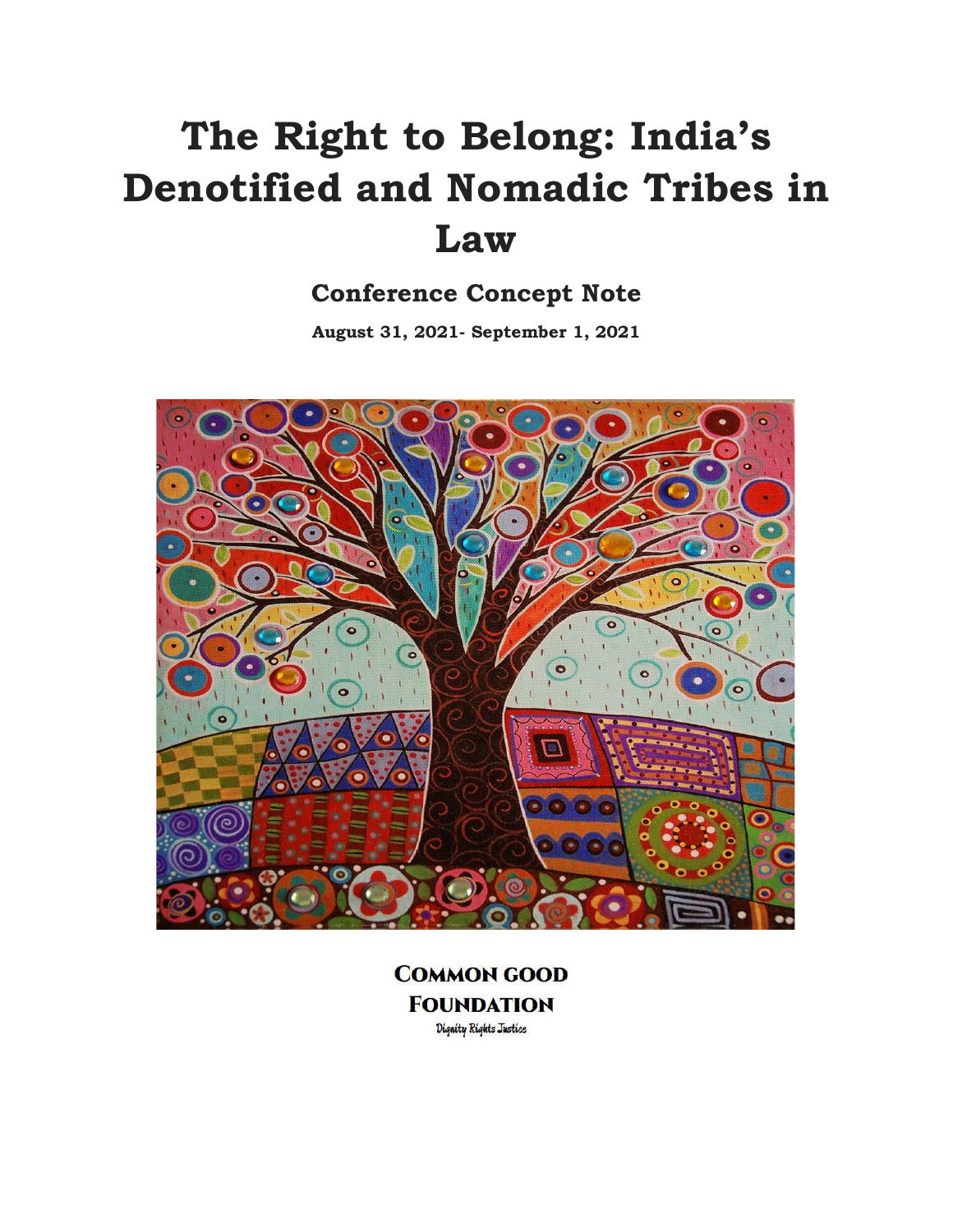# **The Right to Belong: India's Denotified and Nomadic Tribes in Law**

# **Conference Concept Note**

**August 31, 2021- September 1, 2021**



**COMMON GOOD FOUNDATION** Dignity Rights Justice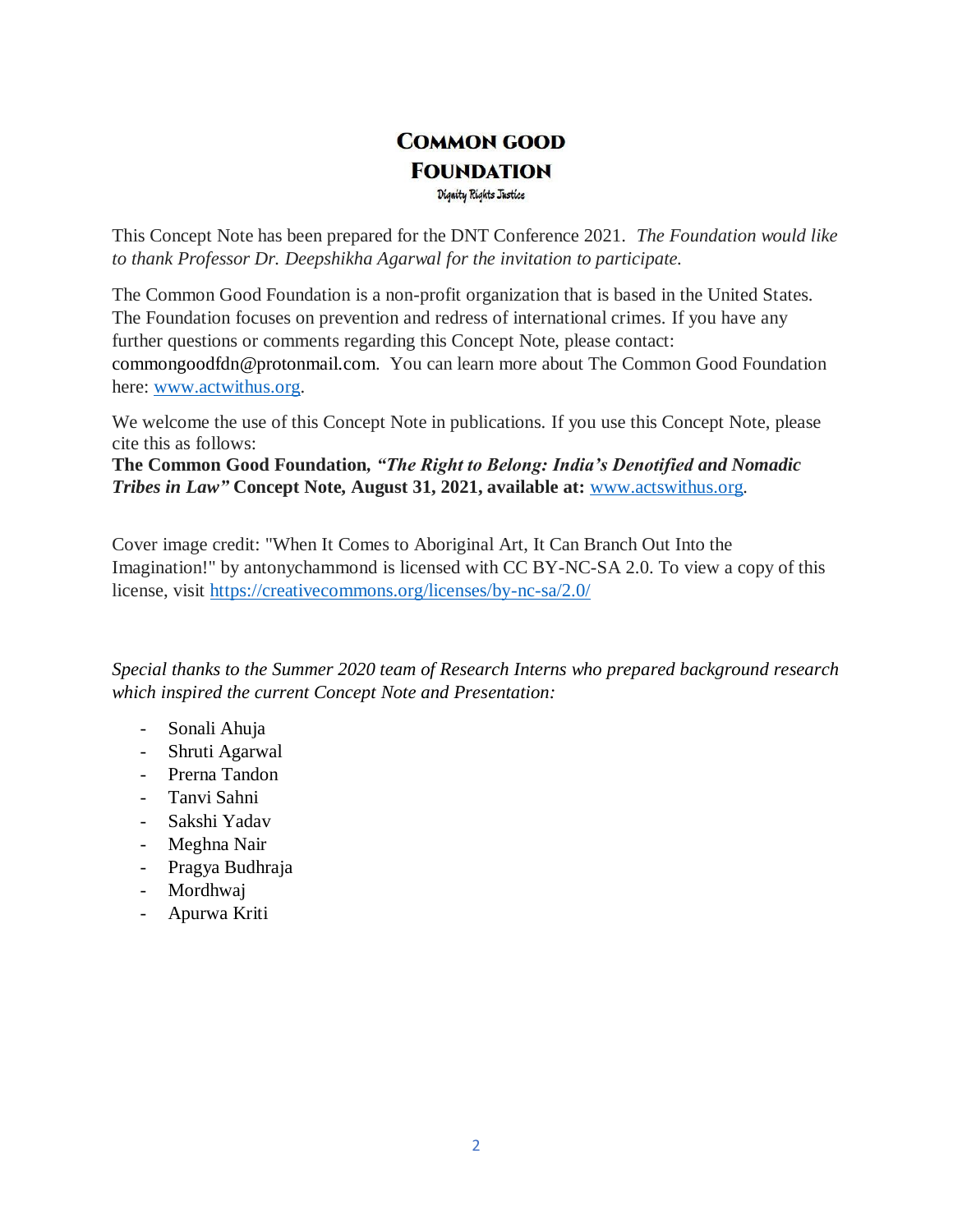# **COMMON GOOD FOUNDATION** Dignity Rights Justice

This Concept Note has been prepared for the DNT Conference 2021. *The Foundation would like to thank Professor Dr. Deepshikha Agarwal for the invitation to participate.* 

The Common Good Foundation is a non-profit organization that is based in the United States. The Foundation focuses on prevention and redress of international crimes. If you have any further questions or comments regarding this Concept Note, please contact: commongoodfdn@protonmail.com. You can learn more about The Common Good Foundation here: [www.actwithus.org.](http://www.actwithus.org/)

We welcome the use of this Concept Note in publications. If you use this Concept Note, please cite this as follows:

**The Common Good Foundation***, "The Right to Belong: India's Denotified and Nomadic Tribes in Law"* **Concept Note, August 31, 2021, available at:** [www.actswithus.org](http://www.actswithus.org/)*.*

Cover image credit: "When It Comes to Aboriginal Art, It Can Branch Out Into the Imagination!" by antonychammond is licensed with CC BY-NC-SA 2.0. To view a copy of this license, visit<https://creativecommons.org/licenses/by-nc-sa/2.0/>

*Special thanks to the Summer 2020 team of Research Interns who prepared background research which inspired the current Concept Note and Presentation:*

- Sonali Ahuja
- Shruti Agarwal
- Prerna Tandon
- Tanvi Sahni
- Sakshi Yadav
- Meghna Nair
- Pragya Budhraja
- Mordhwaj
- Apurwa Kriti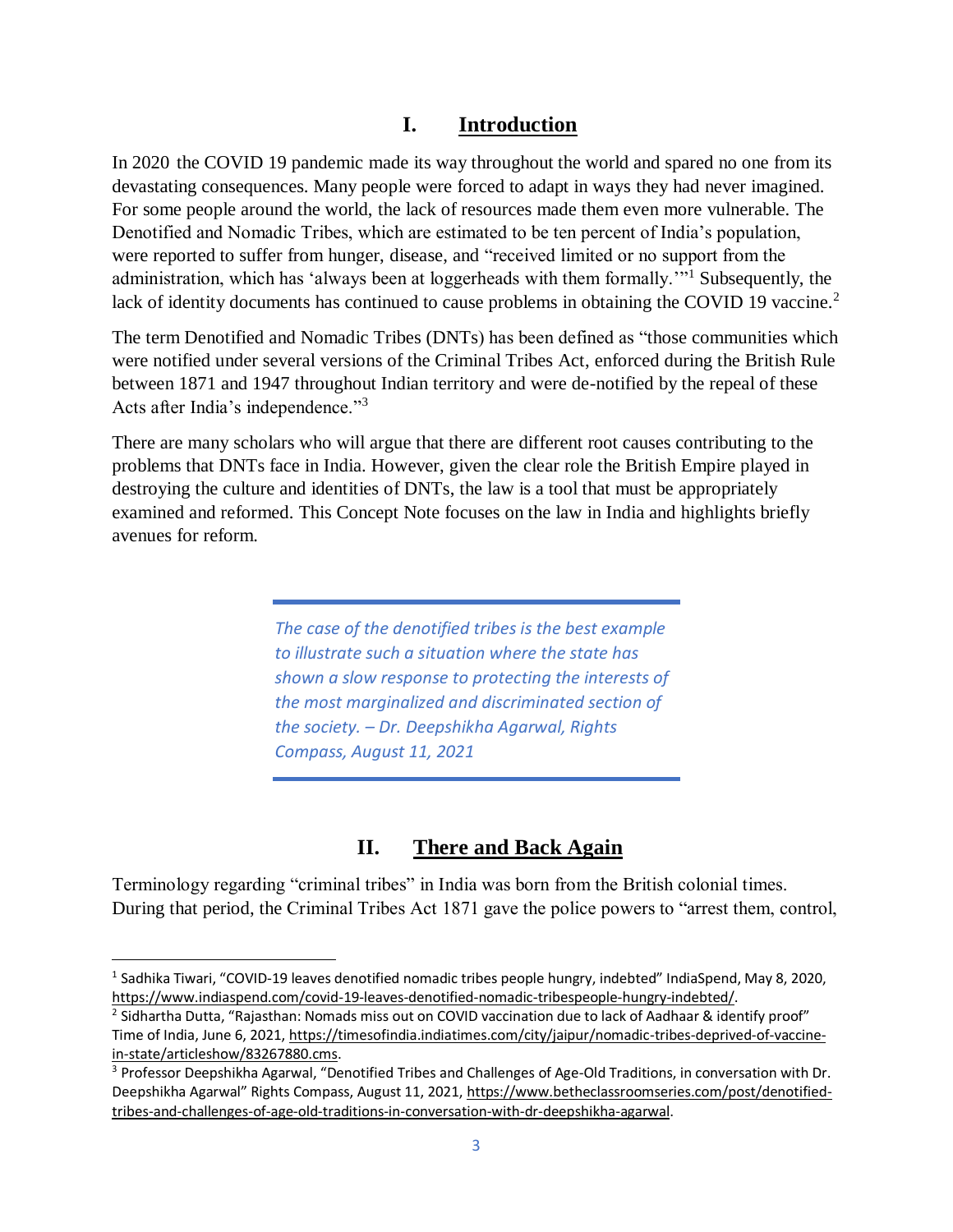### **I. Introduction**

In 2020 the COVID 19 pandemic made its way throughout the world and spared no one from its devastating consequences. Many people were forced to adapt in ways they had never imagined. For some people around the world, the lack of resources made them even more vulnerable. The Denotified and Nomadic Tribes, which are estimated to be ten percent of India's population, were reported to suffer from hunger, disease, and "received limited or no support from the administration, which has 'always been at loggerheads with them formally."<sup>1</sup> Subsequently, the lack of identity documents has continued to cause problems in obtaining the COVID 19 vaccine.<sup>2</sup>

The term Denotified and Nomadic Tribes (DNTs) has been defined as "those communities which were notified under several versions of the Criminal Tribes Act, enforced during the British Rule between 1871 and 1947 throughout Indian territory and were de-notified by the repeal of these Acts after India's independence."<sup>3</sup>

There are many scholars who will argue that there are different root causes contributing to the problems that DNTs face in India. However, given the clear role the British Empire played in destroying the culture and identities of DNTs, the law is a tool that must be appropriately examined and reformed. This Concept Note focuses on the law in India and highlights briefly avenues for reform.

> *The case of the denotified tribes is the best example to illustrate such a situation where the state has shown a slow response to protecting the interests of the most marginalized and discriminated section of the society. – Dr. Deepshikha Agarwal, Rights Compass, August 11, 2021*

# **II. There and Back Again**

Terminology regarding "criminal tribes" in India was born from the British colonial times. During that period, the Criminal Tribes Act 1871 gave the police powers to "arrest them, control,

 $\overline{\phantom{a}}$ 

<sup>&</sup>lt;sup>1</sup> Sadhika Tiwari, "COVID-19 leaves denotified nomadic tribes people hungry, indebted" IndiaSpend, May 8, 2020, [https://www.indiaspend.com/covid-19-leaves-denotified-nomadic-tribespeople-hungry-indebted/.](https://www.indiaspend.com/covid-19-leaves-denotified-nomadic-tribespeople-hungry-indebted/)

<sup>&</sup>lt;sup>2</sup> Sidhartha Dutta, "Rajasthan: Nomads miss out on COVID vaccination due to lack of Aadhaar & identify proof" Time of India, June 6, 2021[, https://timesofindia.indiatimes.com/city/jaipur/nomadic-tribes-deprived-of-vaccine](https://timesofindia.indiatimes.com/city/jaipur/nomadic-tribes-deprived-of-vaccine-in-state/articleshow/83267880.cms)[in-state/articleshow/83267880.cms.](https://timesofindia.indiatimes.com/city/jaipur/nomadic-tribes-deprived-of-vaccine-in-state/articleshow/83267880.cms)

<sup>3</sup> Professor Deepshikha Agarwal, "Denotified Tribes and Challenges of Age-Old Traditions, in conversation with Dr. Deepshikha Agarwal" Rights Compass, August 11, 2021, [https://www.betheclassroomseries.com/post/denotified](https://www.betheclassroomseries.com/post/denotified-tribes-and-challenges-of-age-old-traditions-in-conversation-with-dr-deepshikha-agarwal)[tribes-and-challenges-of-age-old-traditions-in-conversation-with-dr-deepshikha-agarwal.](https://www.betheclassroomseries.com/post/denotified-tribes-and-challenges-of-age-old-traditions-in-conversation-with-dr-deepshikha-agarwal)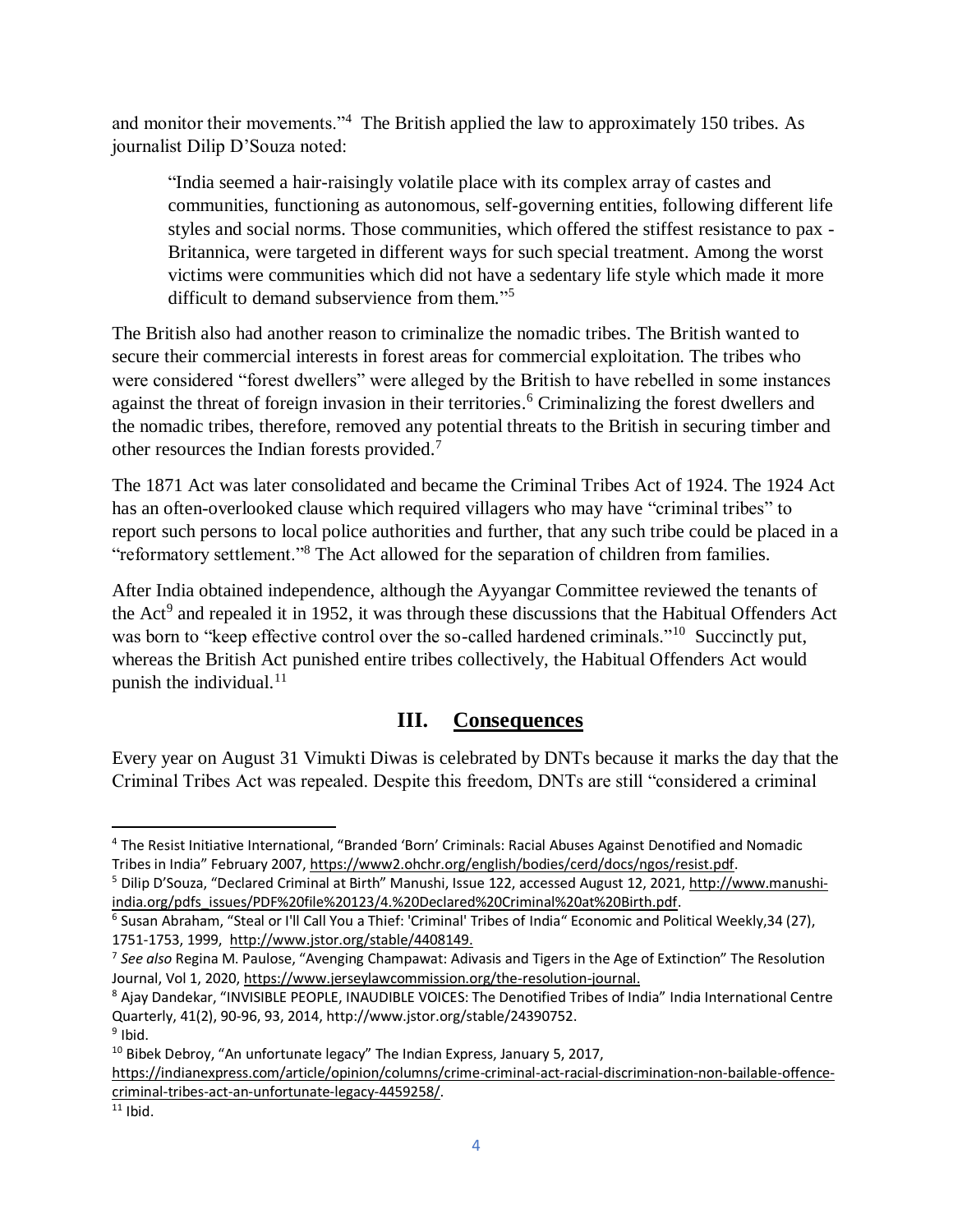and monitor their movements."<sup>4</sup> The British applied the law to approximately 150 tribes. As journalist Dilip D'Souza noted:

"India seemed a hair-raisingly volatile place with its complex array of castes and communities, functioning as autonomous, self-governing entities, following different life styles and social norms. Those communities, which offered the stiffest resistance to pax - Britannica, were targeted in different ways for such special treatment. Among the worst victims were communities which did not have a sedentary life style which made it more difficult to demand subservience from them."<sup>5</sup>

The British also had another reason to criminalize the nomadic tribes. The British wanted to secure their commercial interests in forest areas for commercial exploitation. The tribes who were considered "forest dwellers" were alleged by the British to have rebelled in some instances against the threat of foreign invasion in their territories. <sup>6</sup> Criminalizing the forest dwellers and the nomadic tribes, therefore, removed any potential threats to the British in securing timber and other resources the Indian forests provided.<sup>7</sup>

The 1871 Act was later consolidated and became the Criminal Tribes Act of 1924. The 1924 Act has an often-overlooked clause which required villagers who may have "criminal tribes" to report such persons to local police authorities and further, that any such tribe could be placed in a "reformatory settlement."<sup>8</sup> The Act allowed for the separation of children from families.

After India obtained independence, although the Ayyangar Committee reviewed the tenants of the Act<sup>9</sup> and repealed it in 1952, it was through these discussions that the Habitual Offenders Act was born to "keep effective control over the so-called hardened criminals."<sup>10</sup> Succinctly put, whereas the British Act punished entire tribes collectively, the Habitual Offenders Act would punish the individual. $^{11}$ 

#### **III. Consequences**

Every year on August 31 Vimukti Diwas is celebrated by DNTs because it marks the day that the Criminal Tribes Act was repealed. Despite this freedom, DNTs are still "considered a criminal

 $\overline{\phantom{a}}$ 

<sup>4</sup> The Resist Initiative International, "Branded 'Born' Criminals: Racial Abuses Against Denotified and Nomadic Tribes in India" February 2007, [https://www2.ohchr.org/english/bodies/cerd/docs/ngos/resist.pdf.](https://www2.ohchr.org/english/bodies/cerd/docs/ngos/resist.pdf)

<sup>5</sup> Dilip D'Souza, "Declared Criminal at Birth" Manushi, Issue 122, accessed August 12, 2021[, http://www.manushi](http://www.manushi-india.org/pdfs_issues/PDF%20file%20123/4.%20Declared%20Criminal%20at%20Birth.pdf)[india.org/pdfs\\_issues/PDF%20file%20123/4.%20Declared%20Criminal%20at%20Birth.pdf.](http://www.manushi-india.org/pdfs_issues/PDF%20file%20123/4.%20Declared%20Criminal%20at%20Birth.pdf)

<sup>&</sup>lt;sup>6</sup> Susan Abraham, "Steal or I'll Call You a Thief: 'Criminal' Tribes of India" Economic and Political Weekly,34 (27), 1751-1753, 1999, [http://www.jstor.org/stable/4408149.](http://www.jstor.org/stable/4408149)

<sup>7</sup> *See also* Regina M. Paulose, "Avenging Champawat: Adivasis and Tigers in the Age of Extinction" The Resolution Journal, Vol 1, 2020[, https://www.jerseylawcommission.org/the-resolution-journal.](https://www.jerseylawcommission.org/the-resolution-journal)

<sup>8</sup> Ajay Dandekar, "INVISIBLE PEOPLE, INAUDIBLE VOICES: The Denotified Tribes of India" India International Centre Quarterly, 41(2), 90-96, 93, 2014, http://www.jstor.org/stable/24390752.

<sup>&</sup>lt;sup>9</sup> Ibid.

 $10$  Bibek Debroy, "An unfortunate legacy" The Indian Express, January 5, 2017,

[https://indianexpress.com/article/opinion/columns/crime-criminal-act-racial-discrimination-non-bailable-offence](https://indianexpress.com/article/opinion/columns/crime-criminal-act-racial-discrimination-non-bailable-offence-criminal-tribes-act-an-unfortunate-legacy-4459258/)[criminal-tribes-act-an-unfortunate-legacy-4459258/.](https://indianexpress.com/article/opinion/columns/crime-criminal-act-racial-discrimination-non-bailable-offence-criminal-tribes-act-an-unfortunate-legacy-4459258/)

 $11$  Ibid.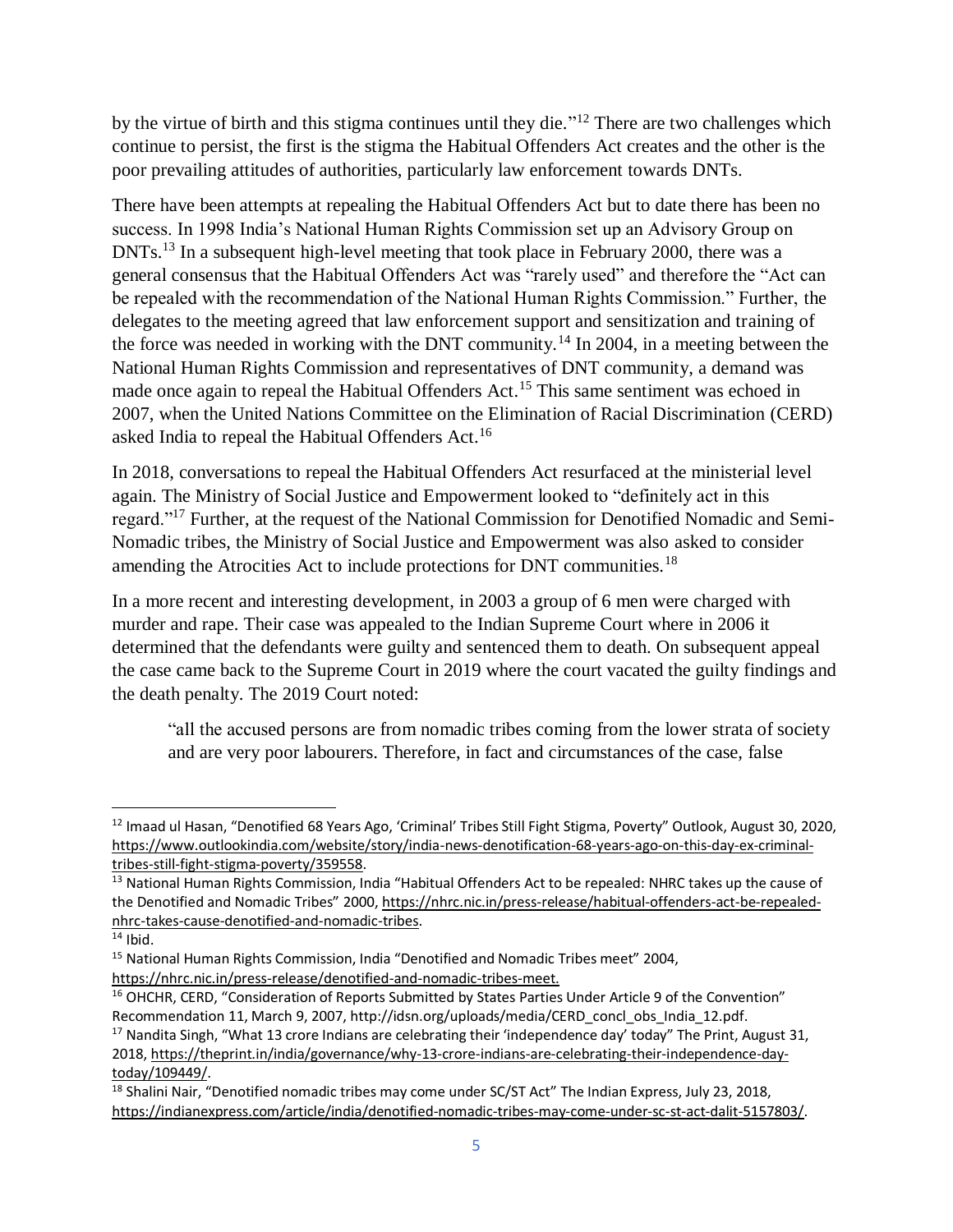by the virtue of birth and this stigma continues until they die."<sup>12</sup> There are two challenges which continue to persist, the first is the stigma the Habitual Offenders Act creates and the other is the poor prevailing attitudes of authorities, particularly law enforcement towards DNTs.

There have been attempts at repealing the Habitual Offenders Act but to date there has been no success. In 1998 India's National Human Rights Commission set up an Advisory Group on DNTs.<sup>13</sup> In a subsequent high-level meeting that took place in February 2000, there was a general consensus that the Habitual Offenders Act was "rarely used" and therefore the "Act can be repealed with the recommendation of the National Human Rights Commission." Further, the delegates to the meeting agreed that law enforcement support and sensitization and training of the force was needed in working with the DNT community.<sup>14</sup> In 2004, in a meeting between the National Human Rights Commission and representatives of DNT community, a demand was made once again to repeal the Habitual Offenders Act.<sup>15</sup> This same sentiment was echoed in 2007, when the United Nations Committee on the Elimination of Racial Discrimination (CERD) asked India to repeal the Habitual Offenders Act.<sup>16</sup>

In 2018, conversations to repeal the Habitual Offenders Act resurfaced at the ministerial level again. The Ministry of Social Justice and Empowerment looked to "definitely act in this regard."<sup>17</sup> Further, at the request of the National Commission for Denotified Nomadic and Semi-Nomadic tribes, the Ministry of Social Justice and Empowerment was also asked to consider amending the Atrocities Act to include protections for DNT communities.<sup>18</sup>

In a more recent and interesting development, in 2003 a group of 6 men were charged with murder and rape. Their case was appealed to the Indian Supreme Court where in 2006 it determined that the defendants were guilty and sentenced them to death. On subsequent appeal the case came back to the Supreme Court in 2019 where the court vacated the guilty findings and the death penalty. The 2019 Court noted:

"all the accused persons are from nomadic tribes coming from the lower strata of society and are very poor labourers. Therefore, in fact and circumstances of the case, false

 $\overline{a}$ 

<sup>&</sup>lt;sup>12</sup> Imaad ul Hasan, "Denotified 68 Years Ago, 'Criminal' Tribes Still Fight Stigma, Poverty" Outlook, August 30, 2020, [https://www.outlookindia.com/website/story/india-news-denotification-68-years-ago-on-this-day-ex-criminal](https://www.outlookindia.com/website/story/india-news-denotification-68-years-ago-on-this-day-ex-criminal-tribes-still-fight-stigma-poverty/359558)[tribes-still-fight-stigma-poverty/359558.](https://www.outlookindia.com/website/story/india-news-denotification-68-years-ago-on-this-day-ex-criminal-tribes-still-fight-stigma-poverty/359558)

<sup>&</sup>lt;sup>13</sup> National Human Rights Commission, India "Habitual Offenders Act to be repealed: NHRC takes up the cause of the Denotified and Nomadic Tribes" 2000[, https://nhrc.nic.in/press-release/habitual-offenders-act-be-repealed](https://nhrc.nic.in/press-release/habitual-offenders-act-be-repealed-nhrc-takes-cause-denotified-and-nomadic-tribes)[nhrc-takes-cause-denotified-and-nomadic-tribes.](https://nhrc.nic.in/press-release/habitual-offenders-act-be-repealed-nhrc-takes-cause-denotified-and-nomadic-tribes)

 $14$  Ibid.

<sup>&</sup>lt;sup>15</sup> National Human Rights Commission, India "Denotified and Nomadic Tribes meet" 2004,

[https://nhrc.nic.in/press-release/denotified-and-nomadic-tribes-meet.](https://nhrc.nic.in/press-release/denotified-and-nomadic-tribes-meet)

<sup>&</sup>lt;sup>16</sup> OHCHR, CERD, "Consideration of Reports Submitted by States Parties Under Article 9 of the Convention" Recommendation 11, March 9, 2007, http://idsn.org/uploads/media/CERD\_concl\_obs\_India\_12.pdf.

<sup>&</sup>lt;sup>17</sup> Nandita Singh, "What 13 crore Indians are celebrating their 'independence day' today" The Print, August 31, 2018, [https://theprint.in/india/governance/why-13-crore-indians-are-celebrating-their-independence-day](https://theprint.in/india/governance/why-13-crore-indians-are-celebrating-their-independence-day-today/109449/)[today/109449/.](https://theprint.in/india/governance/why-13-crore-indians-are-celebrating-their-independence-day-today/109449/) 

<sup>&</sup>lt;sup>18</sup> Shalini Nair, "Denotified nomadic tribes may come under SC/ST Act" The Indian Express, July 23, 2018, [https://indianexpress.com/article/india/denotified-nomadic-tribes-may-come-under-sc-st-act-dalit-5157803/.](https://indianexpress.com/article/india/denotified-nomadic-tribes-may-come-under-sc-st-act-dalit-5157803/)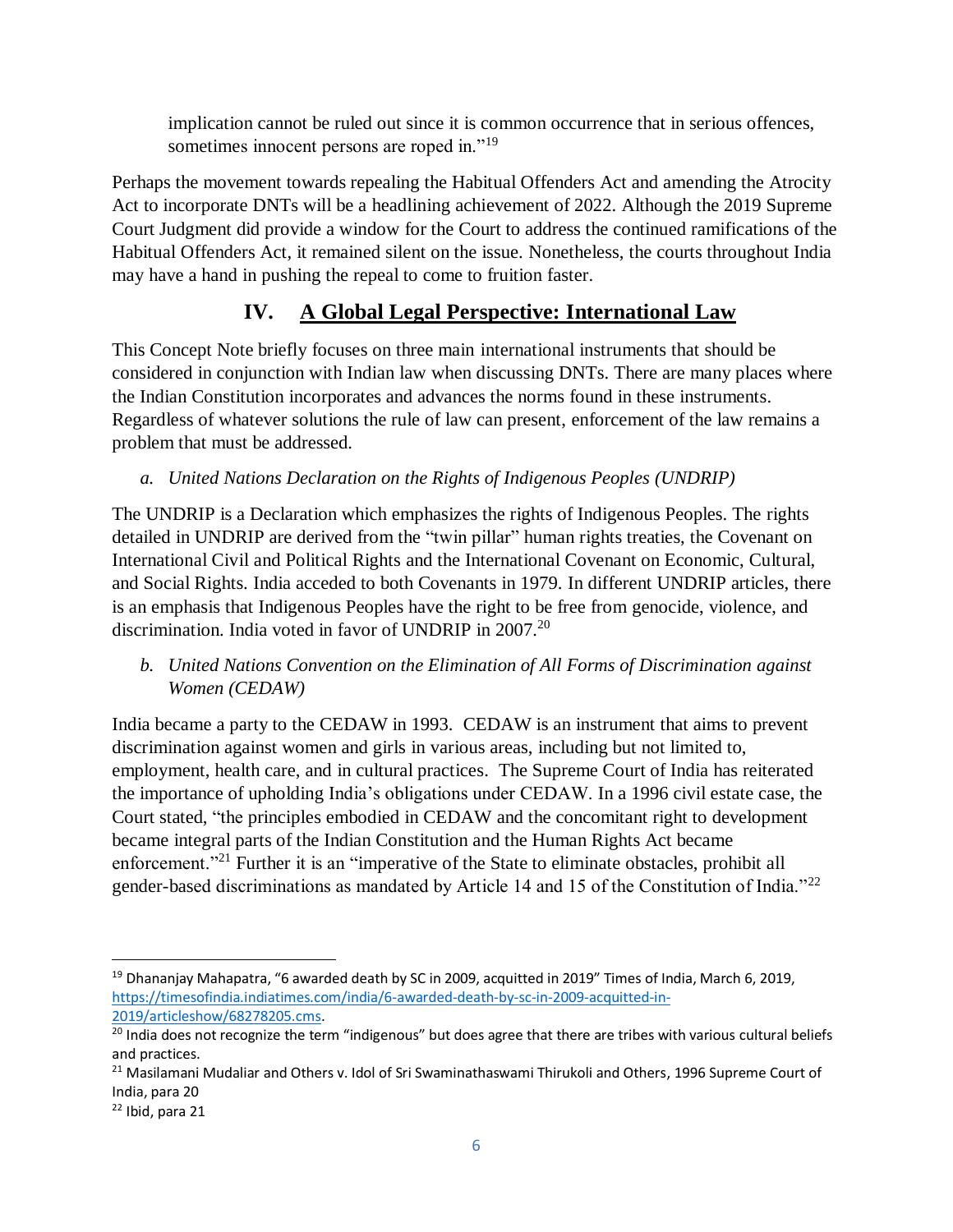implication cannot be ruled out since it is common occurrence that in serious offences, sometimes innocent persons are roped in."<sup>19</sup>

Perhaps the movement towards repealing the Habitual Offenders Act and amending the Atrocity Act to incorporate DNTs will be a headlining achievement of 2022. Although the 2019 Supreme Court Judgment did provide a window for the Court to address the continued ramifications of the Habitual Offenders Act, it remained silent on the issue. Nonetheless, the courts throughout India may have a hand in pushing the repeal to come to fruition faster.

# **IV. A Global Legal Perspective: International Law**

This Concept Note briefly focuses on three main international instruments that should be considered in conjunction with Indian law when discussing DNTs. There are many places where the Indian Constitution incorporates and advances the norms found in these instruments. Regardless of whatever solutions the rule of law can present, enforcement of the law remains a problem that must be addressed.

# *a. United Nations Declaration on the Rights of Indigenous Peoples (UNDRIP)*

The UNDRIP is a Declaration which emphasizes the rights of Indigenous Peoples. The rights detailed in UNDRIP are derived from the "twin pillar" human rights treaties, the Covenant on International Civil and Political Rights and the International Covenant on Economic, Cultural, and Social Rights. India acceded to both Covenants in 1979. In different UNDRIP articles, there is an emphasis that Indigenous Peoples have the right to be free from genocide, violence, and discrimination. India voted in favor of UNDRIP in 2007.<sup>20</sup>

*b. United Nations Convention on the Elimination of All Forms of Discrimination against Women (CEDAW)*

India became a party to the CEDAW in 1993. CEDAW is an instrument that aims to prevent discrimination against women and girls in various areas, including but not limited to, employment, health care, and in cultural practices. The Supreme Court of India has reiterated the importance of upholding India's obligations under CEDAW. In a 1996 civil estate case, the Court stated, "the principles embodied in CEDAW and the concomitant right to development became integral parts of the Indian Constitution and the Human Rights Act became enforcement."<sup>21</sup> Further it is an "imperative of the State to eliminate obstacles, prohibit all gender-based discriminations as mandated by Article 14 and 15 of the Constitution of India."<sup>22</sup>

 $\overline{\phantom{a}}$ 

<sup>&</sup>lt;sup>19</sup> Dhananjay Mahapatra, "6 awarded death by SC in 2009, acquitted in 2019" Times of India, March 6, 2019, [https://timesofindia.indiatimes.com/india/6-awarded-death-by-sc-in-2009-acquitted-in-](https://timesofindia.indiatimes.com/india/6-awarded-death-by-sc-in-2009-acquitted-in-2019/articleshow/68278205.cms)[2019/articleshow/68278205.cms.](https://timesofindia.indiatimes.com/india/6-awarded-death-by-sc-in-2009-acquitted-in-2019/articleshow/68278205.cms)

<sup>&</sup>lt;sup>20</sup> India does not recognize the term "indigenous" but does agree that there are tribes with various cultural beliefs and practices.

<sup>&</sup>lt;sup>21</sup> Masilamani Mudaliar and Others v. Idol of Sri Swaminathaswami Thirukoli and Others, 1996 Supreme Court of India, para 20

 $22$  Ibid, para 21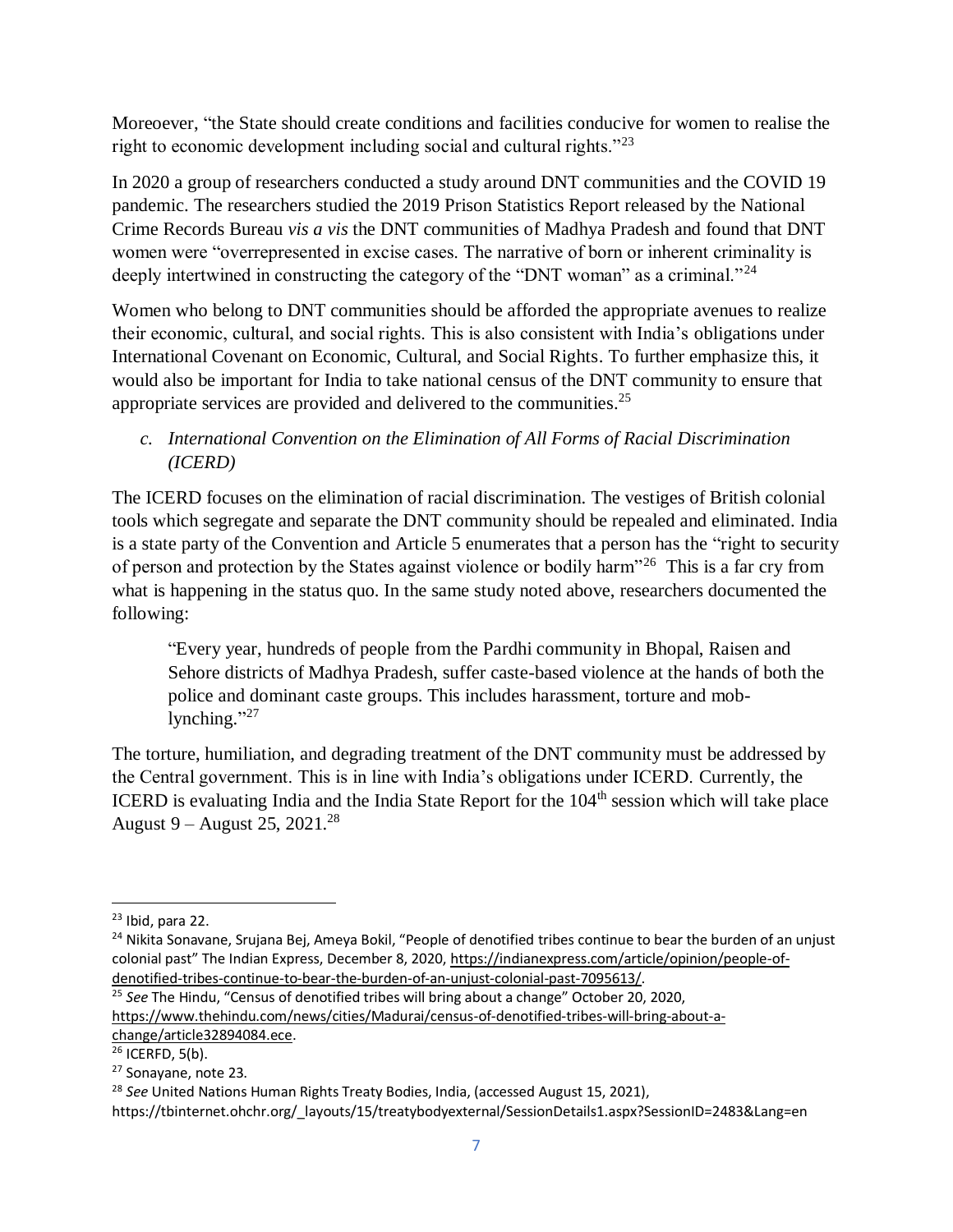Moreoever, "the State should create conditions and facilities conducive for women to realise the right to economic development including social and cultural rights."<sup>23</sup>

In 2020 a group of researchers conducted a study around DNT communities and the COVID 19 pandemic. The researchers studied the 2019 Prison Statistics Report released by the National Crime Records Bureau *vis a vis* the DNT communities of Madhya Pradesh and found that DNT women were "overrepresented in excise cases. The narrative of born or inherent criminality is deeply intertwined in constructing the category of the "DNT woman" as a criminal."<sup>24</sup>

Women who belong to DNT communities should be afforded the appropriate avenues to realize their economic, cultural, and social rights. This is also consistent with India's obligations under International Covenant on Economic, Cultural, and Social Rights. To further emphasize this, it would also be important for India to take national census of the DNT community to ensure that appropriate services are provided and delivered to the communities.<sup>25</sup>

#### *c. International Convention on the Elimination of All Forms of Racial Discrimination (ICERD)*

The ICERD focuses on the elimination of racial discrimination. The vestiges of British colonial tools which segregate and separate the DNT community should be repealed and eliminated. India is a state party of the Convention and Article 5 enumerates that a person has the "right to security of person and protection by the States against violence or bodily harm"<sup>26</sup> This is a far cry from what is happening in the status quo. In the same study noted above, researchers documented the following:

"Every year, hundreds of people from the Pardhi community in Bhopal, Raisen and Sehore districts of Madhya Pradesh, suffer caste-based violence at the hands of both the police and dominant caste groups. This includes harassment, torture and moblynching."<sup>27</sup>

The torture, humiliation, and degrading treatment of the DNT community must be addressed by the Central government. This is in line with India's obligations under ICERD. Currently, the ICERD is evaluating India and the India State Report for the  $104<sup>th</sup>$  session which will take place August 9 – August 25, 2021.<sup>28</sup>

 $\overline{a}$ 

[change/article32894084.ece.](https://www.thehindu.com/news/cities/Madurai/census-of-denotified-tribes-will-bring-about-a-change/article32894084.ece)

<sup>27</sup> Sonayane, note 23.

 $23$  Ibid, para 22.

<sup>&</sup>lt;sup>24</sup> Nikita Sonavane, Srujana Bej, Ameya Bokil, "People of denotified tribes continue to bear the burden of an unjust colonial past" The Indian Express, December 8, 2020, [https://indianexpress.com/article/opinion/people-of](https://indianexpress.com/article/opinion/people-of-denotified-tribes-continue-to-bear-the-burden-of-an-unjust-colonial-past-7095613/)[denotified-tribes-continue-to-bear-the-burden-of-an-unjust-colonial-past-7095613/.](https://indianexpress.com/article/opinion/people-of-denotified-tribes-continue-to-bear-the-burden-of-an-unjust-colonial-past-7095613/)

<sup>&</sup>lt;sup>25</sup> See The Hindu, "Census of denotified tribes will bring about a change" October 20, 2020, [https://www.thehindu.com/news/cities/Madurai/census-of-denotified-tribes-will-bring-about-a-](https://www.thehindu.com/news/cities/Madurai/census-of-denotified-tribes-will-bring-about-a-change/article32894084.ece)

 $26$  ICERFD, 5(b).

<sup>28</sup> *See* United Nations Human Rights Treaty Bodies, India, (accessed August 15, 2021),

https://tbinternet.ohchr.org/\_layouts/15/treatybodyexternal/SessionDetails1.aspx?SessionID=2483&Lang=en